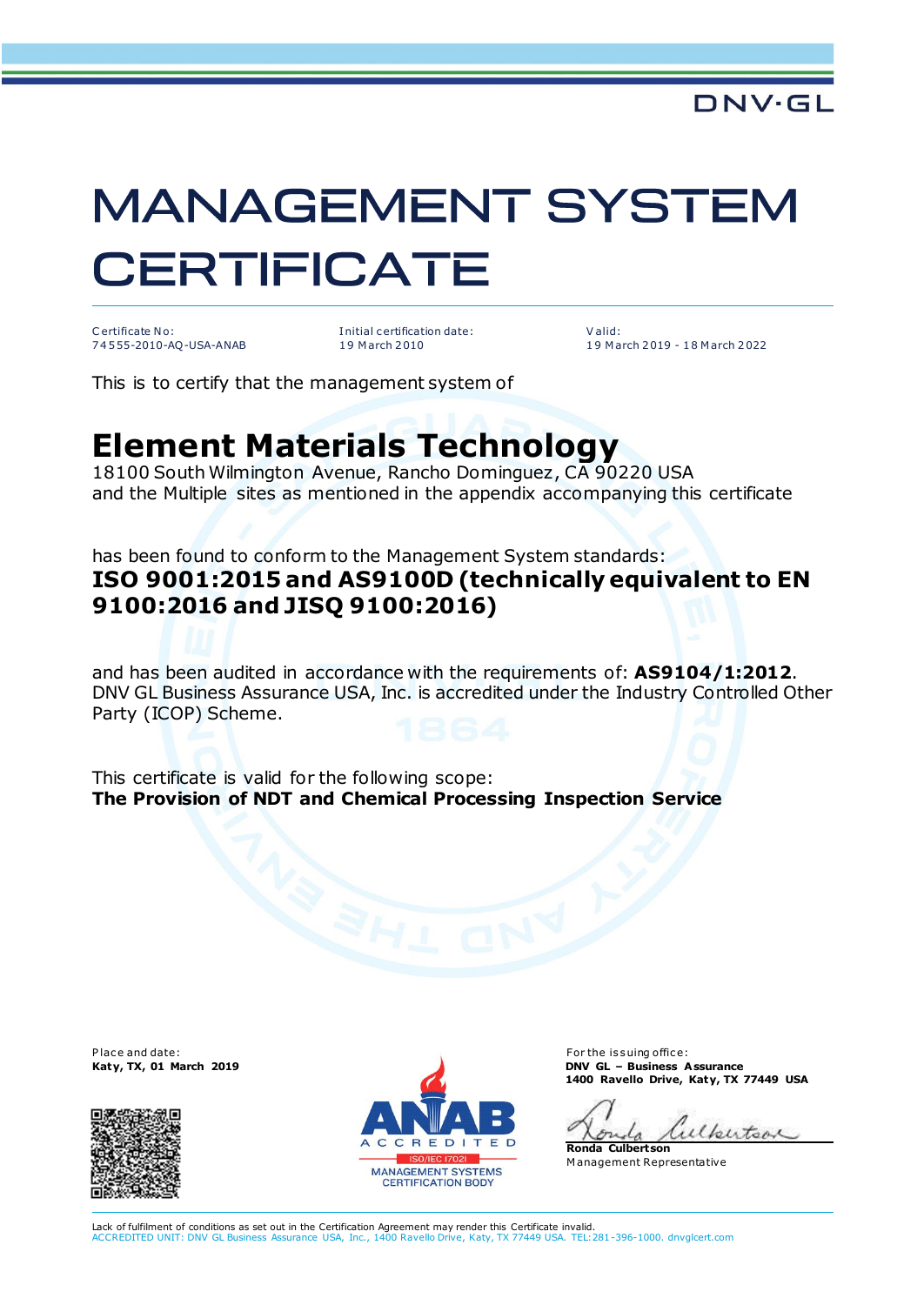# **MANAGEMENT SYSTEM CERTIFICATE**

C ertificate No: 7 4 5 55-2010-AQ-USA-ANAB I nitial c ertification date: 1 9 M arch 2 010

V alid: 1 9 M arch 2 019 - 1 8 M arch 2 022

This is to certify that the management system of

## **Element Materials Technology**

18100 South Wilmington Avenue, Rancho Dominguez, CA 90220 USA and the Multiple sites as mentioned in the appendix accompanying this certificate

### has been found to conform to the Management System standards: **ISO 9001:2015 and AS9100D (technically equivalent to EN 9100:2016 and JISQ 9100:2016)**

and has been audited in accordance with the requirements of: **AS9104/1:2012**. DNV GL Business Assurance USA, Inc. is accredited under the Industry Controlled Other Party (ICOP) Scheme.

This certificate is valid for the following scope: **The Provision of NDT and Chemical Processing Inspection Service**





**Katy, TX, 01 March 2019 DNV GL – Business Assurance 1400 Ravello Drive, Katy, TX 77449 USA**

ulkertoon  $52.5$ 

**Ronda Culbertson** M anagement Representative

Lack of fulfilment of conditions as set out in the Certification Agreement may render this Certificate invalid.<br>ACCREDITED UNIT: DNV GL Business Assurance USA. Inc., 1400 Ravello Drive, Katy, TX 77449 USA. TEL:2 ACCREDITED UNIT: DNV GL Business Assurance USA, Inc., 1400 Ravello Drive, Katy, TX 77449 USA. TEL:281-396-1000. dnvglcert.com